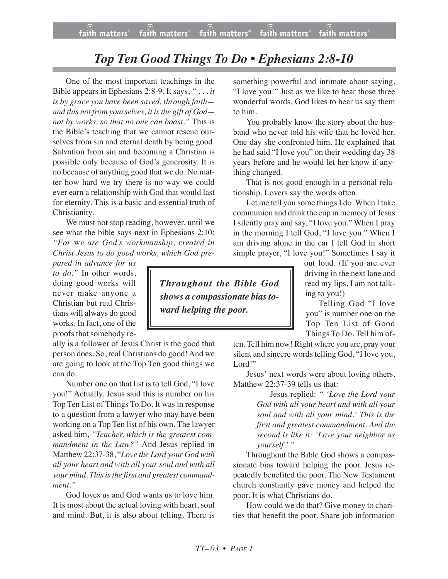## *Top Ten Good Things To Do • Ephesians 2:8-10*

One of the most important teachings in the Bible appears in Ephesians 2:8-9. It says, *" . . . it is by grace you have been saved, through faith and this not from yourselves, it isthe gift of God not by works, so that no one can boast."* This is the Bible's teaching that we cannot rescue ourselves from sin and eternal death by being good. Salvation from sin and becoming a Christian is possible only because of God's generosity. It is no because of anything good that we do. No matter how hard we try there is no way we could ever earn a relationship with God that would last for eternity. This is a basic and essential truth of Christianity.

We must not stop reading, however, until we see what the bible says next in Ephesians 2:10: *"For* w*e are God's workmanship, created in Christ Jesus to do good works, which God pre-*

*pared in advance for us to do."* In other words, doing good works will never make anyone a Christian but real Christians will always do good works. In fact, one of the proofs that somebody re-

ally is a follower of Jesus Christ is the good that person does. So, real Christians do good! And we are going to look at the Top Ten good things we can do.

Number one on that list is to tell God, "I love you!" Actually, Jesus said this is number on his Top Ten List of Things To Do. It was in response to a question from a lawyer who may have been working on a Top Ten list of his own. The lawyer asked him, *"Teacher, which is the greatest commandment in the Law?"* And Jesus replied in Matthew 22:37-38, "*Love the Lord your God with all your heart and with all your soul and with all your mind. This is the first and greatest commandment."*

God loves us and God wants us to love him. It is most about the actual loving with heart, soul and mind. But, it is also about telling. There is something powerful and intimate about saying, "I love you!" Just as we like to hear those three wonderful words, God likes to hear us say them to him.

You probably know the story about the husband who never told his wife that he loved her. One day she confronted him. He explained that he had said "I love you" on their wedding day 38 years before and he would let her know if anything changed.

That is not good enough in a personal relationship. Lovers say the words often.

Let me tell you some things I do. When I take communion and drink the cup in memory of Jesus I silently pray and say, "I love you." When I pray in the morning I tell God, "I love you." When I am driving alone in the car I tell God in short simple prayer, "I love you!" Sometimes I say it

out loud. (If you are ever driving in the next lane and read my lips, I am not talking to you!)

Telling God "I love you" is number one on the Top Ten List of Good Things To Do. Tell him of-

ten. Tell him now! Right where you are, pray your silent and sincere words telling God, "I love you, Lord!"

Jesus' next words were about loving others. Matthew 22:37-39 tells us that:

> Jesus replied: *" 'Love the Lord your God with all your heart and with all your soul and with all your mind.' This is the first and greatest commandment. And the second is like it: 'Love your neighbor as yourself.' "*

Throughout the Bible God shows a compassionate bias toward helping the poor. Jesus repeatedly benefited the poor. The New Testament church constantly gave money and helped the poor. It is what Christians do.

How could we do that? Give money to charities that benefit the poor. Share job information

*Throughout the Bible God shows a compassionate biastoward helping the poor.*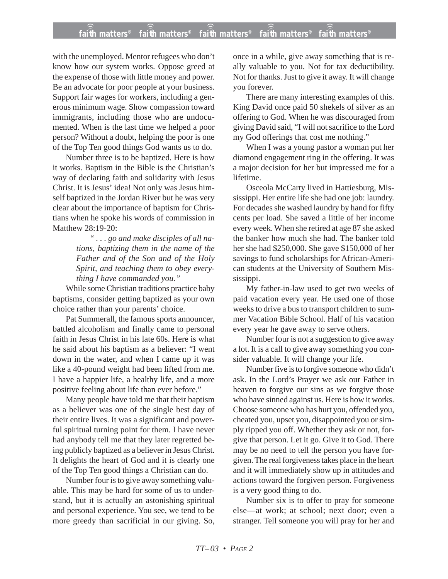## **faith matters® faith matters® faith matters® faith matters® faith matters®** ))) ))) ))) ))) )))

with the unemployed. Mentor refugees who don't know how our system works. Oppose greed at the expense of those with little money and power. Be an advocate for poor people at your business. Support fair wages for workers, including a generous minimum wage. Show compassion toward immigrants, including those who are undocumented. When is the last time we helped a poor person? Without a doubt, helping the poor is one of the Top Ten good things God wants us to do.

Number three is to be baptized. Here is how it works. Baptism in the Bible is the Christian's way of declaring faith and solidarity with Jesus Christ. It is Jesus' idea! Not only was Jesus himself baptized in the Jordan River but he was very clear about the importance of baptism for Christians when he spoke his words of commission in Matthew 28:19-20:

> *" . . . go and make disciples of all nations, baptizing them in the name of the Father and of the Son and of the Holy Spirit, and teaching them to obey everything I have commanded you."*

While some Christian traditions practice baby baptisms, consider getting baptized as your own choice rather than your parents' choice.

Pat Summerall, the famous sports announcer, battled alcoholism and finally came to personal faith in Jesus Christ in his late 60s. Here is what he said about his baptism as a believer: "I went down in the water, and when I came up it was like a 40-pound weight had been lifted from me. I have a happier life, a healthy life, and a more positive feeling about life than ever before."

Many people have told me that their baptism as a believer was one of the single best day of their entire lives. It was a significant and powerful spiritual turning point for them. I have never had anybody tell me that they later regretted being publicly baptized as a believer in Jesus Christ. It delights the heart of God and it is clearly one of the Top Ten good things a Christian can do.

Number four is to give away something valuable. This may be hard for some of us to understand, but it is actually an astonishing spiritual and personal experience. You see, we tend to be more greedy than sacrificial in our giving. So, once in a while, give away something that is really valuable to you. Not for tax deductibility. Not for thanks. Just to give it away. It will change you forever.

There are many interesting examples of this. King David once paid 50 shekels of silver as an offering to God. When he was discouraged from giving David said, "I will not sacrifice to the Lord my God offerings that cost me nothing."

When I was a young pastor a woman put her diamond engagement ring in the offering. It was a major decision for her but impressed me for a lifetime.

Osceola McCarty lived in Hattiesburg, Mississippi. Her entire life she had one job: laundry. For decades she washed laundry by hand for fifty cents per load. She saved a little of her income every week. When she retired at age 87 she asked the banker how much she had. The banker told her she had \$250,000. She gave \$150,000 of her savings to fund scholarships for African-American students at the University of Southern Mississippi.

My father-in-law used to get two weeks of paid vacation every year. He used one of those weeks to drive a bus to transport children to summer Vacation Bible School. Half of his vacation every year he gave away to serve others.

Number four is not a suggestion to give away a lot. It is a call to give away something you consider valuable. It will change your life.

Number five is to forgive someone who didn't ask. In the Lord's Prayer we ask our Father in heaven to forgive our sins as we forgive those who have sinned against us. Here is how it works. Choose someone who has hurt you, offended you, cheated you, upset you, disappointed you or simply ripped you off. Whether they ask or not, forgive that person. Let it go. Give it to God. There may be no need to tell the person you have forgiven. The real forgiveness takes place in the heart and it will immediately show up in attitudes and actions toward the forgiven person. Forgiveness is a very good thing to do.

Number six is to offer to pray for someone else—at work; at school; next door; even a stranger. Tell someone you will pray for her and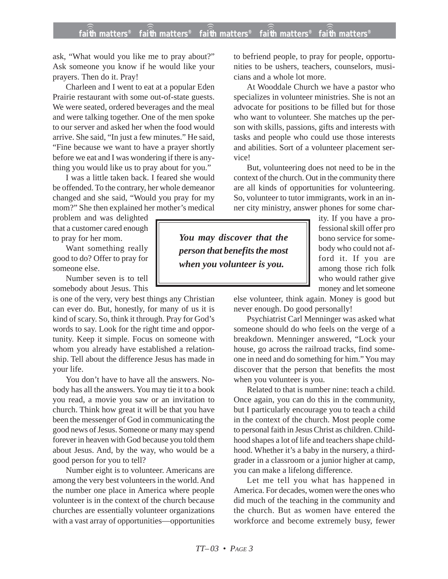ask, "What would you like me to pray about?" Ask someone you know if he would like your prayers. Then do it. Pray!

Charleen and I went to eat at a popular Eden Prairie restaurant with some out-of-state guests. We were seated, ordered beverages and the meal and were talking together. One of the men spoke to our server and asked her when the food would arrive. She said, "In just a few minutes." He said, "Fine because we want to have a prayer shortly before we eat and I was wondering if there is anything you would like us to pray about for you."

I was a little taken back. I feared she would be offended. To the contrary, her whole demeanor changed and she said, "Would you pray for my mom?" She then explained her mother's medical

problem and was delighted that a customer cared enough to pray for her mom.

Want something really good to do? Offer to pray for someone else.

Number seven is to tell somebody about Jesus. This

is one of the very, very best things any Christian can ever do. But, honestly, for many of us it is kind of scary. So, think it through. Pray for God's words to say. Look for the right time and opportunity. Keep it simple. Focus on someone with whom you already have established a relationship. Tell about the difference Jesus has made in your life.

You don't have to have all the answers. Nobody has all the answers. You may tie it to a book you read, a movie you saw or an invitation to church. Think how great it will be that you have been the messenger of God in communicating the good news of Jesus. Someone or many may spend forever in heaven with God because you told them about Jesus. And, by the way, who would be a good person for you to tell?

Number eight is to volunteer. Americans are among the very best volunteers in the world. And the number one place in America where people volunteer is in the context of the church because churches are essentially volunteer organizations with a vast array of opportunities—opportunities to befriend people, to pray for people, opportunities to be ushers, teachers, counselors, musicians and a whole lot more.

At Wooddale Church we have a pastor who specializes in volunteer ministries. She is not an advocate for positions to be filled but for those who want to volunteer. She matches up the person with skills, passions, gifts and interests with tasks and people who could use those interests and abilities. Sort of a volunteer placement service!

But, volunteering does not need to be in the context of the church. Out in the community there are all kinds of opportunities for volunteering. So, volunteer to tutor immigrants, work in an inner city ministry, answer phones for some char-

*You may discover that the person that benefits the most when you volunteer is you.*

ity. If you have a professional skill offer pro bono service for somebody who could not afford it. If you are among those rich folk who would rather give money and let someone

else volunteer, think again. Money is good but never enough. Do good personally!

Psychiatrist Carl Menninger was asked what someone should do who feels on the verge of a breakdown. Menninger answered, "Lock your house, go across the railroad tracks, find someone in need and do something for him." You may discover that the person that benefits the most when you volunteer is you.

Related to that is number nine: teach a child. Once again, you can do this in the community, but I particularly encourage you to teach a child in the context of the church. Most people come to personal faith in Jesus Christ as children. Childhood shapes a lot of life and teachers shape childhood. Whether it's a baby in the nursery, a thirdgrader in a classroom or a junior higher at camp, you can make a lifelong difference.

Let me tell you what has happened in America. For decades, women were the ones who did much of the teaching in the community and the church. But as women have entered the workforce and become extremely busy, fewer